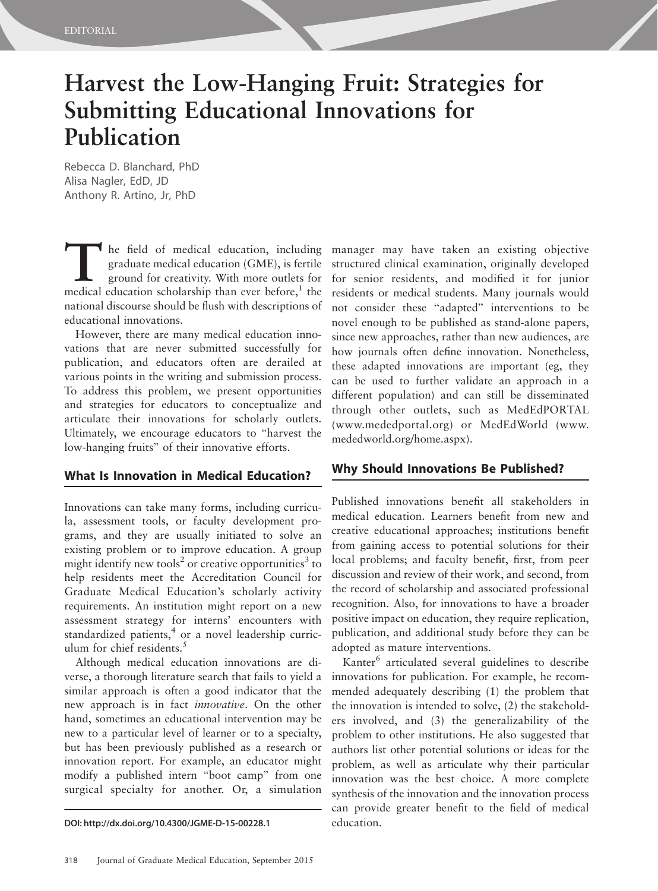# Harvest the Low-Hanging Fruit: Strategies for Submitting Educational Innovations for Publication

Rebecca D. Blanchard, PhD Alisa Nagler, EdD, JD Anthony R. Artino, Jr, PhD

The field of medical education, including<br>graduate medical education (GME), is fertile<br>ground for creativity. With more outlets for<br>medical education scholarship than ever before <sup>1</sup> the graduate medical education (GME), is fertile ground for creativity. With more outlets for medical education scholarship than ever before, $<sup>1</sup>$  the</sup> national discourse should be flush with descriptions of educational innovations.

However, there are many medical education innovations that are never submitted successfully for publication, and educators often are derailed at various points in the writing and submission process. To address this problem, we present opportunities and strategies for educators to conceptualize and articulate their innovations for scholarly outlets. Ultimately, we encourage educators to ''harvest the low-hanging fruits'' of their innovative efforts.

## What Is Innovation in Medical Education?

Innovations can take many forms, including curricula, assessment tools, or faculty development programs, and they are usually initiated to solve an existing problem or to improve education. A group might identify new tools<sup>2</sup> or creative opportunities<sup>3</sup> to help residents meet the Accreditation Council for Graduate Medical Education's scholarly activity requirements. An institution might report on a new assessment strategy for interns' encounters with standardized patients,<sup>4</sup> or a novel leadership curriculum for chief residents. $5$ 

Although medical education innovations are diverse, a thorough literature search that fails to yield a similar approach is often a good indicator that the new approach is in fact innovative. On the other hand, sometimes an educational intervention may be new to a particular level of learner or to a specialty, but has been previously published as a research or innovation report. For example, an educator might modify a published intern ''boot camp'' from one surgical specialty for another. Or, a simulation

DOI: http://dx.doi.org/10.4300/JGME-D-15-00228.1 education.

manager may have taken an existing objective structured clinical examination, originally developed for senior residents, and modified it for junior residents or medical students. Many journals would not consider these ''adapted'' interventions to be novel enough to be published as stand-alone papers, since new approaches, rather than new audiences, are how journals often define innovation. Nonetheless, these adapted innovations are important (eg, they can be used to further validate an approach in a different population) and can still be disseminated through other outlets, such as MedEdPORTAL ([www.mededportal.org](https://www.mededportal.org)) or MedEdWorld ([www.](http://www.mededworld.org/home.aspx) [mededworld.org/home.aspx](http://www.mededworld.org/home.aspx)).

## Why Should Innovations Be Published?

Published innovations benefit all stakeholders in medical education. Learners benefit from new and creative educational approaches; institutions benefit from gaining access to potential solutions for their local problems; and faculty benefit, first, from peer discussion and review of their work, and second, from the record of scholarship and associated professional recognition. Also, for innovations to have a broader positive impact on education, they require replication, publication, and additional study before they can be adopted as mature interventions.

Kanter<sup>6</sup> articulated several guidelines to describe innovations for publication. For example, he recommended adequately describing (1) the problem that the innovation is intended to solve, (2) the stakeholders involved, and (3) the generalizability of the problem to other institutions. He also suggested that authors list other potential solutions or ideas for the problem, as well as articulate why their particular innovation was the best choice. A more complete synthesis of the innovation and the innovation process can provide greater benefit to the field of medical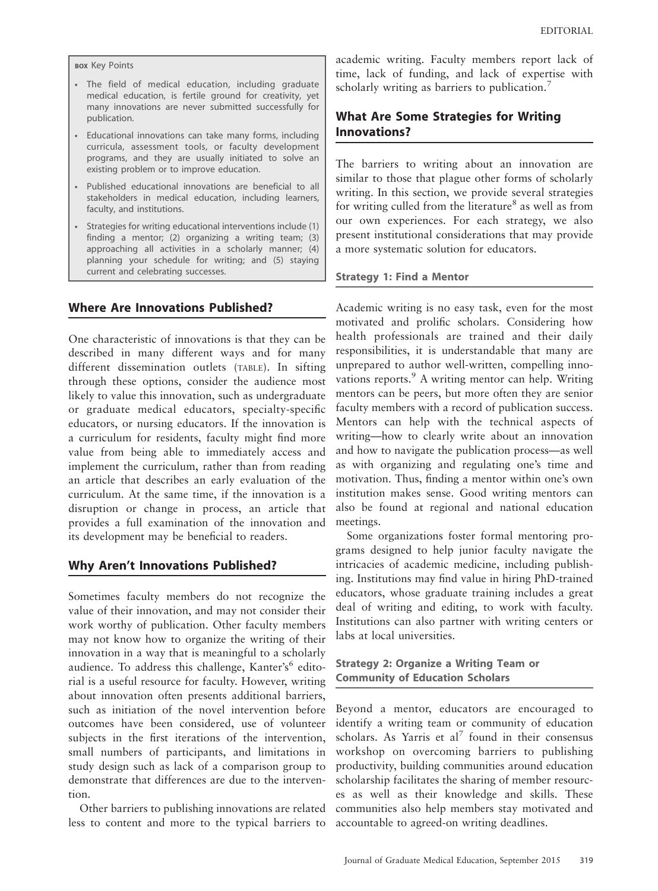#### BOX Key Points

- . The field of medical education, including graduate medical education, is fertile ground for creativity, yet many innovations are never submitted successfully for publication.
- & Educational innovations can take many forms, including curricula, assessment tools, or faculty development programs, and they are usually initiated to solve an existing problem or to improve education.
- Published educational innovations are beneficial to all stakeholders in medical education, including learners, faculty, and institutions.
- & Strategies for writing educational interventions include (1) finding a mentor; (2) organizing a writing team; (3) approaching all activities in a scholarly manner; (4) planning your schedule for writing; and (5) staying current and celebrating successes.

## Where Are Innovations Published?

One characteristic of innovations is that they can be described in many different ways and for many different dissemination outlets (TABLE). In sifting through these options, consider the audience most likely to value this innovation, such as undergraduate or graduate medical educators, specialty-specific educators, or nursing educators. If the innovation is a curriculum for residents, faculty might find more value from being able to immediately access and implement the curriculum, rather than from reading an article that describes an early evaluation of the curriculum. At the same time, if the innovation is a disruption or change in process, an article that provides a full examination of the innovation and its development may be beneficial to readers.

## Why Aren't Innovations Published?

Sometimes faculty members do not recognize the value of their innovation, and may not consider their work worthy of publication. Other faculty members may not know how to organize the writing of their innovation in a way that is meaningful to a scholarly audience. To address this challenge, Kanter's $<sup>6</sup>$  edito-</sup> rial is a useful resource for faculty. However, writing about innovation often presents additional barriers, such as initiation of the novel intervention before outcomes have been considered, use of volunteer subjects in the first iterations of the intervention, small numbers of participants, and limitations in study design such as lack of a comparison group to demonstrate that differences are due to the intervention.

less to content and more to the typical barriers to accountable to agreed-on writing deadlines.

academic writing. Faculty members report lack of time, lack of funding, and lack of expertise with scholarly writing as barriers to publication.<sup>7</sup>

# What Are Some Strategies for Writing Innovations?

The barriers to writing about an innovation are similar to those that plague other forms of scholarly writing. In this section, we provide several strategies for writing culled from the literature $8$  as well as from our own experiences. For each strategy, we also present institutional considerations that may provide a more systematic solution for educators.

#### Strategy 1: Find a Mentor

Academic writing is no easy task, even for the most motivated and prolific scholars. Considering how health professionals are trained and their daily responsibilities, it is understandable that many are unprepared to author well-written, compelling innovations reports.<sup>9</sup> A writing mentor can help. Writing mentors can be peers, but more often they are senior faculty members with a record of publication success. Mentors can help with the technical aspects of writing—how to clearly write about an innovation and how to navigate the publication process—as well as with organizing and regulating one's time and motivation. Thus, finding a mentor within one's own institution makes sense. Good writing mentors can also be found at regional and national education meetings.

Some organizations foster formal mentoring programs designed to help junior faculty navigate the intricacies of academic medicine, including publishing. Institutions may find value in hiring PhD-trained educators, whose graduate training includes a great deal of writing and editing, to work with faculty. Institutions can also partner with writing centers or labs at local universities.

## Strategy 2: Organize a Writing Team or Community of Education Scholars

Other barriers to publishing innovations are related communities also help members stay motivated and Beyond a mentor, educators are encouraged to identify a writing team or community of education scholars. As Yarris et al<sup>7</sup> found in their consensus workshop on overcoming barriers to publishing productivity, building communities around education scholarship facilitates the sharing of member resources as well as their knowledge and skills. These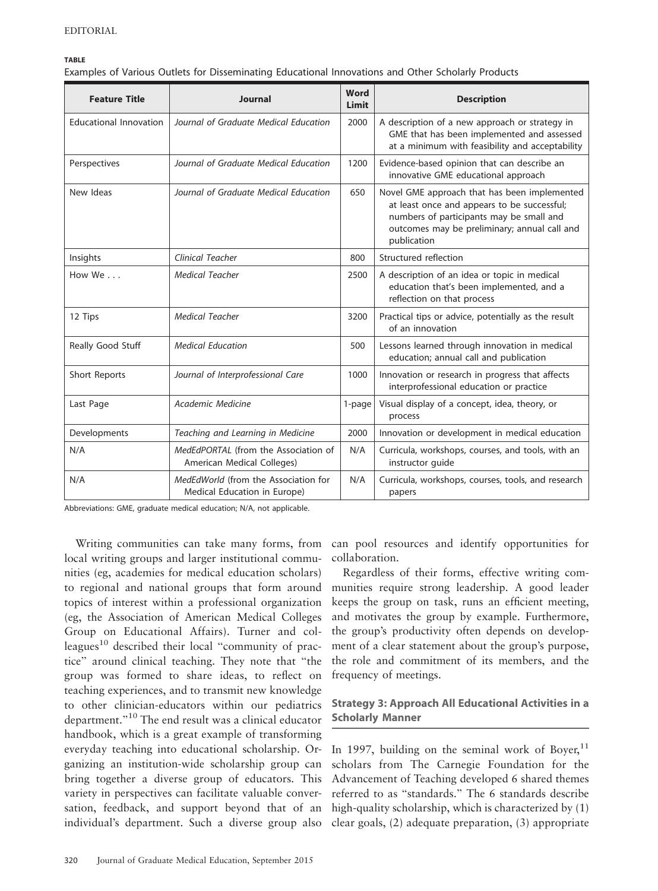#### EDITORIAL

#### **TABLE**

|  |  |  | Examples of Various Outlets for Disseminating Educational Innovations and Other Scholarly Products |  |  |  |  |  |
|--|--|--|----------------------------------------------------------------------------------------------------|--|--|--|--|--|
|--|--|--|----------------------------------------------------------------------------------------------------|--|--|--|--|--|

| <b>Feature Title</b>          | Journal                                                              | Word<br>Limit | <b>Description</b>                                                                                                                                                                                     |
|-------------------------------|----------------------------------------------------------------------|---------------|--------------------------------------------------------------------------------------------------------------------------------------------------------------------------------------------------------|
| <b>Educational Innovation</b> | Journal of Graduate Medical Education                                | 2000          | A description of a new approach or strategy in<br>GME that has been implemented and assessed<br>at a minimum with feasibility and acceptability                                                        |
| Perspectives                  | Journal of Graduate Medical Education                                | 1200          | Evidence-based opinion that can describe an<br>innovative GME educational approach                                                                                                                     |
| New Ideas                     | Journal of Graduate Medical Education                                | 650           | Novel GME approach that has been implemented<br>at least once and appears to be successful;<br>numbers of participants may be small and<br>outcomes may be preliminary; annual call and<br>publication |
| Insights                      | Clinical Teacher                                                     | 800           | Structured reflection                                                                                                                                                                                  |
| How We                        | <b>Medical Teacher</b>                                               | 2500          | A description of an idea or topic in medical<br>education that's been implemented, and a<br>reflection on that process                                                                                 |
| 12 Tips                       | <b>Medical Teacher</b>                                               | 3200          | Practical tips or advice, potentially as the result<br>of an innovation                                                                                                                                |
| Really Good Stuff             | <b>Medical Education</b>                                             | 500           | Lessons learned through innovation in medical<br>education; annual call and publication                                                                                                                |
| <b>Short Reports</b>          | Journal of Interprofessional Care                                    | 1000          | Innovation or research in progress that affects<br>interprofessional education or practice                                                                                                             |
| Last Page                     | Academic Medicine                                                    | 1-page        | Visual display of a concept, idea, theory, or<br>process                                                                                                                                               |
| Developments                  | Teaching and Learning in Medicine                                    | 2000          | Innovation or development in medical education                                                                                                                                                         |
| N/A                           | MedEdPORTAL (from the Association of<br>American Medical Colleges)   | N/A           | Curricula, workshops, courses, and tools, with an<br>instructor quide                                                                                                                                  |
| N/A                           | MedEdWorld (from the Association for<br>Medical Education in Europe) | N/A           | Curricula, workshops, courses, tools, and research<br>papers                                                                                                                                           |

Abbreviations: GME, graduate medical education; N/A, not applicable.

Writing communities can take many forms, from local writing groups and larger institutional communities (eg, academies for medical education scholars) to regional and national groups that form around topics of interest within a professional organization (eg, the Association of American Medical Colleges Group on Educational Affairs). Turner and colleagues $10$  described their local "community of practice'' around clinical teaching. They note that ''the group was formed to share ideas, to reflect on teaching experiences, and to transmit new knowledge to other clinician-educators within our pediatrics department.''<sup>10</sup> The end result was a clinical educator handbook, which is a great example of transforming everyday teaching into educational scholarship. Organizing an institution-wide scholarship group can bring together a diverse group of educators. This variety in perspectives can facilitate valuable conversation, feedback, and support beyond that of an individual's department. Such a diverse group also can pool resources and identify opportunities for collaboration.

Regardless of their forms, effective writing communities require strong leadership. A good leader keeps the group on task, runs an efficient meeting, and motivates the group by example. Furthermore, the group's productivity often depends on development of a clear statement about the group's purpose, the role and commitment of its members, and the frequency of meetings.

## Strategy 3: Approach All Educational Activities in a Scholarly Manner

In 1997, building on the seminal work of Boyer, $11$ scholars from The Carnegie Foundation for the Advancement of Teaching developed 6 shared themes referred to as ''standards.'' The 6 standards describe high-quality scholarship, which is characterized by (1) clear goals, (2) adequate preparation, (3) appropriate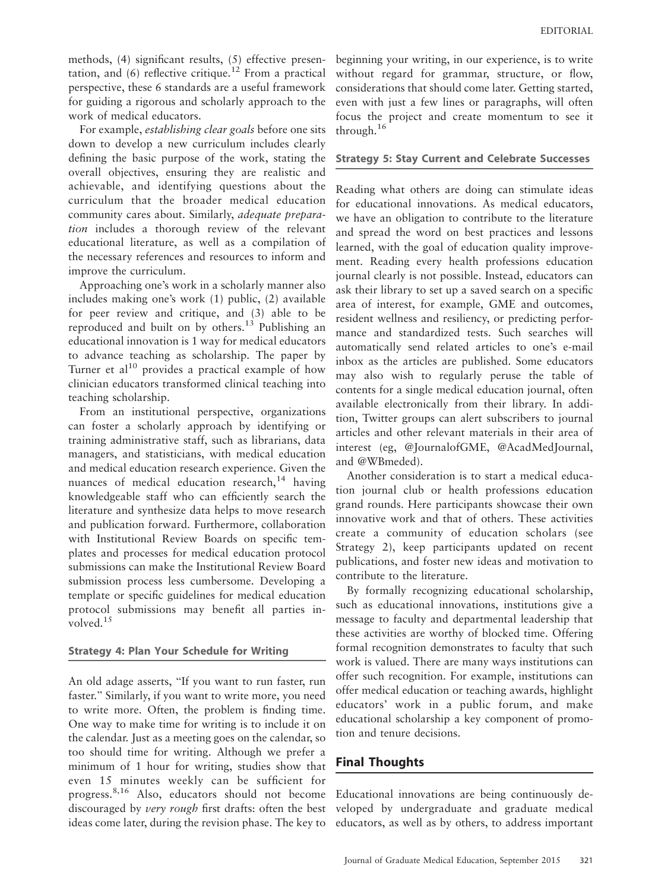methods, (4) significant results, (5) effective presentation, and  $(6)$  reflective critique.<sup>12</sup> From a practical perspective, these 6 standards are a useful framework for guiding a rigorous and scholarly approach to the work of medical educators.

For example, establishing clear goals before one sits down to develop a new curriculum includes clearly defining the basic purpose of the work, stating the overall objectives, ensuring they are realistic and achievable, and identifying questions about the curriculum that the broader medical education community cares about. Similarly, adequate preparation includes a thorough review of the relevant educational literature, as well as a compilation of the necessary references and resources to inform and improve the curriculum.

Approaching one's work in a scholarly manner also includes making one's work (1) public, (2) available for peer review and critique, and (3) able to be reproduced and built on by others.<sup>13</sup> Publishing an educational innovation is 1 way for medical educators to advance teaching as scholarship. The paper by Turner et  $al^{10}$  provides a practical example of how clinician educators transformed clinical teaching into teaching scholarship.

From an institutional perspective, organizations can foster a scholarly approach by identifying or training administrative staff, such as librarians, data managers, and statisticians, with medical education and medical education research experience. Given the nuances of medical education research, $^{14}$  having knowledgeable staff who can efficiently search the literature and synthesize data helps to move research and publication forward. Furthermore, collaboration with Institutional Review Boards on specific templates and processes for medical education protocol submissions can make the Institutional Review Board submission process less cumbersome. Developing a template or specific guidelines for medical education protocol submissions may benefit all parties involved.<sup>15</sup>

#### Strategy 4: Plan Your Schedule for Writing

An old adage asserts, ''If you want to run faster, run faster.'' Similarly, if you want to write more, you need to write more. Often, the problem is finding time. One way to make time for writing is to include it on the calendar. Just as a meeting goes on the calendar, so too should time for writing. Although we prefer a minimum of 1 hour for writing, studies show that even 15 minutes weekly can be sufficient for progress.8,16 Also, educators should not become discouraged by very rough first drafts: often the best ideas come later, during the revision phase. The key to beginning your writing, in our experience, is to write without regard for grammar, structure, or flow, considerations that should come later. Getting started, even with just a few lines or paragraphs, will often focus the project and create momentum to see it through.<sup>16</sup>

#### Strategy 5: Stay Current and Celebrate Successes

Reading what others are doing can stimulate ideas for educational innovations. As medical educators, we have an obligation to contribute to the literature and spread the word on best practices and lessons learned, with the goal of education quality improvement. Reading every health professions education journal clearly is not possible. Instead, educators can ask their library to set up a saved search on a specific area of interest, for example, GME and outcomes, resident wellness and resiliency, or predicting performance and standardized tests. Such searches will automatically send related articles to one's e-mail inbox as the articles are published. Some educators may also wish to regularly peruse the table of contents for a single medical education journal, often available electronically from their library. In addition, Twitter groups can alert subscribers to journal articles and other relevant materials in their area of interest (eg, @JournalofGME, @AcadMedJournal, and @WBmeded).

Another consideration is to start a medical education journal club or health professions education grand rounds. Here participants showcase their own innovative work and that of others. These activities create a community of education scholars (see Strategy 2), keep participants updated on recent publications, and foster new ideas and motivation to contribute to the literature.

By formally recognizing educational scholarship, such as educational innovations, institutions give a message to faculty and departmental leadership that these activities are worthy of blocked time. Offering formal recognition demonstrates to faculty that such work is valued. There are many ways institutions can offer such recognition. For example, institutions can offer medical education or teaching awards, highlight educators' work in a public forum, and make educational scholarship a key component of promotion and tenure decisions.

## Final Thoughts

Educational innovations are being continuously developed by undergraduate and graduate medical educators, as well as by others, to address important